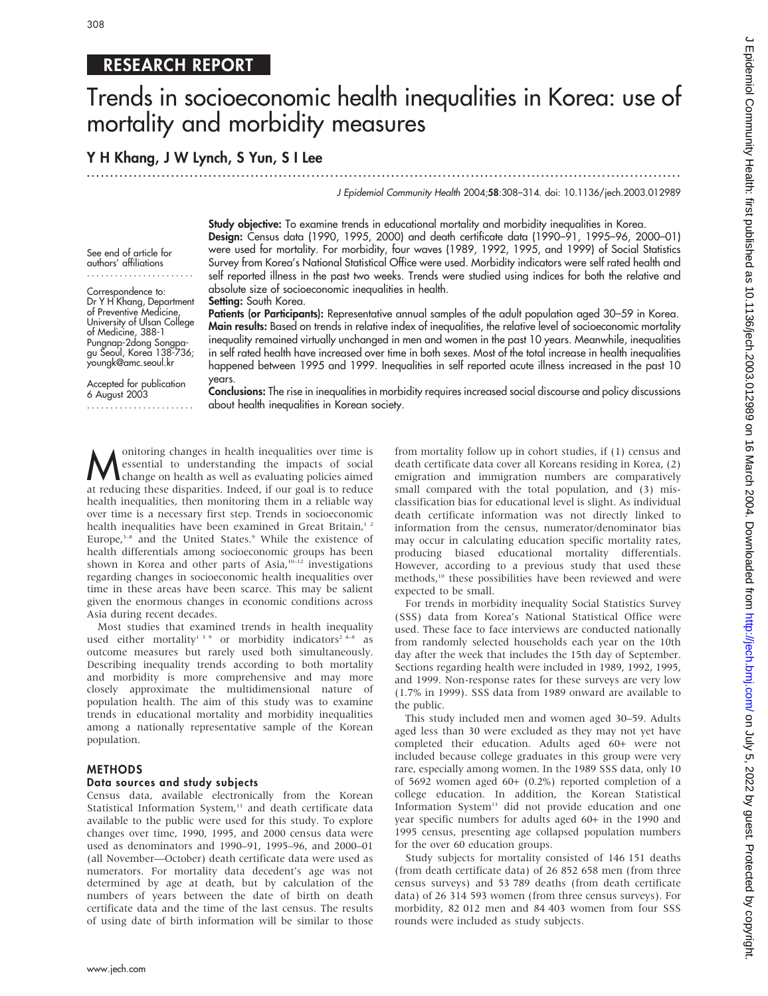# RESEARCH REPORT

# Trends in socioeconomic health inequalities in Korea: use of mortality and morbidity measures

Y H Khang, J W Lynch, S Yun, S I Lee

.............................................................................................................................. .

J Epidemiol Community Health 2004;58:308–314. doi: 10.1136/jech.2003.012989

Study objective: To examine trends in educational mortality and morbidity inequalities in Korea. Design: Census data (1990, 1995, 2000) and death certificate data (1990–91, 1995–96, 2000–01) were used for mortality. For morbidity, four waves (1989, 1992, 1995, and 1999) of Social Statistics Survey from Korea's National Statistical Office were used. Morbidity indicators were self rated health and self reported illness in the past two weeks. Trends were studied using indices for both the relative and absolute size of socioeconomic inequalities in health.

Setting: South Korea.

Patients (or Participants): Representative annual samples of the adult population aged 30-59 in Korea. Main results: Based on trends in relative index of inequalities, the relative level of socioeconomic mortality inequality remained virtually unchanged in men and women in the past 10 years. Meanwhile, inequalities in self rated health have increased over time in both sexes. Most of the total increase in health inequalities happened between 1995 and 1999. Inequalities in self reported acute illness increased in the past 10 years.

Accepted for publication 6 August 2003 .......................

See end of article for authors' affiliations ....................... Correspondence to: Dr Y H Khang, Department of Preventive Medicine, University of Ulsan College of Medicine, 388-1 Pungnap-2dong Songpagu Seoul, Korea 138-736; youngk@amc.seoul.kr

> Conclusions: The rise in inequalities in morbidity requires increased social discourse and policy discussions about health inequalities in Korean society.

**M** onitoring changes in health inequalities over time is<br>change on health as well as evaluating policies aimed<br>at reducing these disparities. Indeed, if our goal is to reduce essential to understanding the impacts of social at reducing these disparities. Indeed, if our goal is to reduce health inequalities, then monitoring them in a reliable way over time is a necessary first step. Trends in socioeconomic health inequalities have been examined in Great Britain,<sup>12</sup> Europe,<sup>3-8</sup> and the United States.<sup>9</sup> While the existence of health differentials among socioeconomic groups has been shown in Korea and other parts of Asia, $10-12$  investigations regarding changes in socioeconomic health inequalities over time in these areas have been scarce. This may be salient given the enormous changes in economic conditions across Asia during recent decades.

Most studies that examined trends in health inequality used either mortality<sup>139</sup> or morbidity indicators<sup>24-8</sup> as outcome measures but rarely used both simultaneously. Describing inequality trends according to both mortality and morbidity is more comprehensive and may more closely approximate the multidimensional nature of population health. The aim of this study was to examine trends in educational mortality and morbidity inequalities among a nationally representative sample of the Korean population.

### METHODS

#### Data sources and study subjects

Census data, available electronically from the Korean Statistical Information System,<sup>13</sup> and death certificate data available to the public were used for this study. To explore changes over time, 1990, 1995, and 2000 census data were used as denominators and 1990–91, 1995–96, and 2000–01 (all November—October) death certificate data were used as numerators. For mortality data decedent's age was not determined by age at death, but by calculation of the numbers of years between the date of birth on death certificate data and the time of the last census. The results of using date of birth information will be similar to those from mortality follow up in cohort studies, if (1) census and death certificate data cover all Koreans residing in Korea, (2) emigration and immigration numbers are comparatively small compared with the total population, and (3) misclassification bias for educational level is slight. As individual death certificate information was not directly linked to information from the census, numerator/denominator bias may occur in calculating education specific mortality rates, producing biased educational mortality differentials. However, according to a previous study that used these methods,<sup>10</sup> these possibilities have been reviewed and were expected to be small.

For trends in morbidity inequality Social Statistics Survey (SSS) data from Korea's National Statistical Office were used. These face to face interviews are conducted nationally from randomly selected households each year on the 10th day after the week that includes the 15th day of September. Sections regarding health were included in 1989, 1992, 1995, and 1999. Non-response rates for these surveys are very low (1.7% in 1999). SSS data from 1989 onward are available to the public.

This study included men and women aged 30–59. Adults aged less than 30 were excluded as they may not yet have completed their education. Adults aged 60+ were not included because college graduates in this group were very rare, especially among women. In the 1989 SSS data, only 10 of 5692 women aged 60+ (0.2%) reported completion of a college education. In addition, the Korean Statistical Information System<sup>13</sup> did not provide education and one year specific numbers for adults aged 60+ in the 1990 and 1995 census, presenting age collapsed population numbers for the over 60 education groups.

Study subjects for mortality consisted of 146 151 deaths (from death certificate data) of 26 852 658 men (from three census surveys) and 53 789 deaths (from death certificate data) of 26 314 593 women (from three census surveys). For morbidity, 82 012 men and 84 403 women from four SSS rounds were included as study subjects.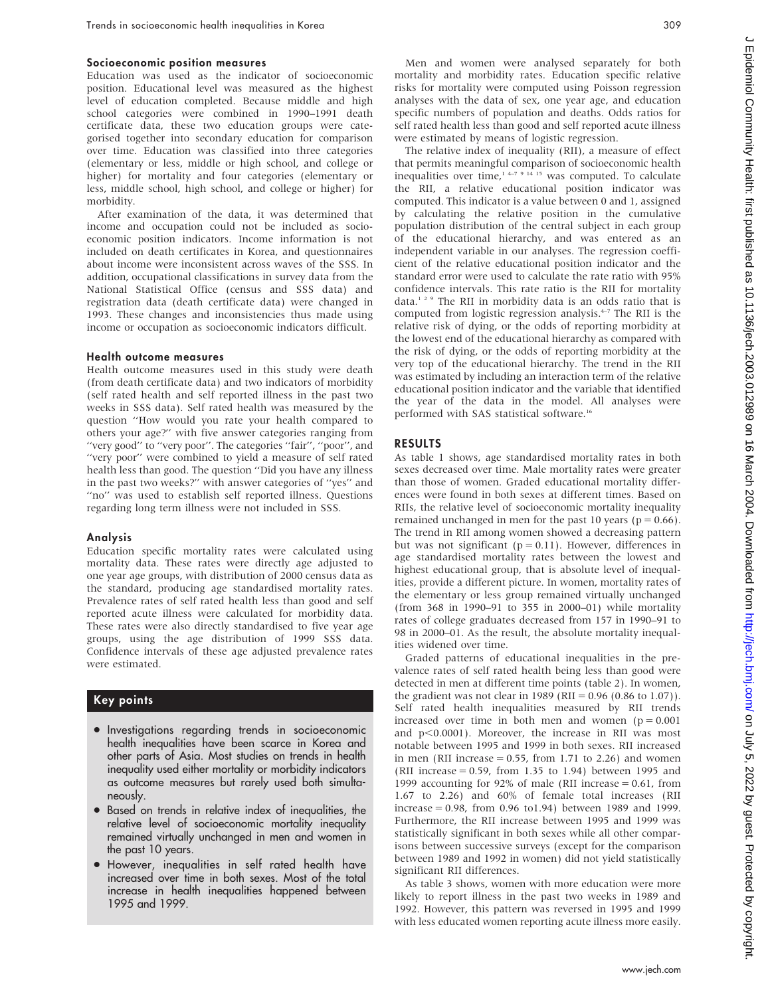#### Socioeconomic position measures

Education was used as the indicator of socioeconomic position. Educational level was measured as the highest level of education completed. Because middle and high school categories were combined in 1990–1991 death certificate data, these two education groups were categorised together into secondary education for comparison over time. Education was classified into three categories (elementary or less, middle or high school, and college or higher) for mortality and four categories (elementary or less, middle school, high school, and college or higher) for morbidity.

After examination of the data, it was determined that income and occupation could not be included as socioeconomic position indicators. Income information is not included on death certificates in Korea, and questionnaires about income were inconsistent across waves of the SSS. In addition, occupational classifications in survey data from the National Statistical Office (census and SSS data) and registration data (death certificate data) were changed in 1993. These changes and inconsistencies thus made using income or occupation as socioeconomic indicators difficult.

#### Health outcome measures

Health outcome measures used in this study were death (from death certificate data) and two indicators of morbidity (self rated health and self reported illness in the past two weeks in SSS data). Self rated health was measured by the question ''How would you rate your health compared to others your age?'' with five answer categories ranging from "very good" to "very poor". The categories "fair", "poor", and ''very poor'' were combined to yield a measure of self rated health less than good. The question ''Did you have any illness in the past two weeks?'' with answer categories of ''yes'' and "no" was used to establish self reported illness. Questions regarding long term illness were not included in SSS.

#### Analysis

Education specific mortality rates were calculated using mortality data. These rates were directly age adjusted to one year age groups, with distribution of 2000 census data as the standard, producing age standardised mortality rates. Prevalence rates of self rated health less than good and self reported acute illness were calculated for morbidity data. These rates were also directly standardised to five year age groups, using the age distribution of 1999 SSS data. Confidence intervals of these age adjusted prevalence rates were estimated.

#### Key points

- Investigations regarding trends in socioeconomic health inequalities have been scarce in Korea and other parts of Asia. Most studies on trends in health inequality used either mortality or morbidity indicators as outcome measures but rarely used both simultaneously.
- Based on trends in relative index of inequalities, the relative level of socioeconomic mortality inequality remained virtually unchanged in men and women in the past 10 years.
- $\bullet$  However, inequalities in self rated health have increased over time in both sexes. Most of the total increase in health inequalities happened between 1995 and 1999.

Men and women were analysed separately for both mortality and morbidity rates. Education specific relative risks for mortality were computed using Poisson regression analyses with the data of sex, one year age, and education specific numbers of population and deaths. Odds ratios for self rated health less than good and self reported acute illness were estimated by means of logistic regression.

The relative index of inequality (RII), a measure of effect that permits meaningful comparison of socioeconomic health inequalities over time, $1^{4-7}$  9 14 15 was computed. To calculate the RII, a relative educational position indicator was computed. This indicator is a value between 0 and 1, assigned by calculating the relative position in the cumulative population distribution of the central subject in each group of the educational hierarchy, and was entered as an independent variable in our analyses. The regression coefficient of the relative educational position indicator and the standard error were used to calculate the rate ratio with 95% confidence intervals. This rate ratio is the RII for mortality data.129 The RII in morbidity data is an odds ratio that is computed from logistic regression analysis.4–7 The RII is the relative risk of dying, or the odds of reporting morbidity at the lowest end of the educational hierarchy as compared with the risk of dying, or the odds of reporting morbidity at the very top of the educational hierarchy. The trend in the RII was estimated by including an interaction term of the relative educational position indicator and the variable that identified the year of the data in the model. All analyses were performed with SAS statistical software.16

#### RESULTS

As table 1 shows, age standardised mortality rates in both sexes decreased over time. Male mortality rates were greater than those of women. Graded educational mortality differences were found in both sexes at different times. Based on RIIs, the relative level of socioeconomic mortality inequality remained unchanged in men for the past 10 years ( $p = 0.66$ ). The trend in RII among women showed a decreasing pattern but was not significant ( $p = 0.11$ ). However, differences in age standardised mortality rates between the lowest and highest educational group, that is absolute level of inequalities, provide a different picture. In women, mortality rates of the elementary or less group remained virtually unchanged (from 368 in 1990–91 to 355 in 2000–01) while mortality rates of college graduates decreased from 157 in 1990–91 to 98 in 2000–01. As the result, the absolute mortality inequalities widened over time.

Graded patterns of educational inequalities in the prevalence rates of self rated health being less than good were detected in men at different time points (table 2). In women, the gradient was not clear in 1989 (RII =  $0.96$  (0.86 to 1.07)). Self rated health inequalities measured by RII trends increased over time in both men and women  $(p = 0.001)$ and  $p<0.0001$ ). Moreover, the increase in RII was most notable between 1995 and 1999 in both sexes. RII increased in men (RII increase  $= 0.55$ , from 1.71 to 2.26) and women (RII increase  $= 0.59$ , from 1.35 to 1.94) between 1995 and 1999 accounting for 92% of male (RII increase  $= 0.61$ , from 1.67 to 2.26) and 60% of female total increases (RII increase = 0.98, from 0.96 to1.94) between 1989 and 1999. Furthermore, the RII increase between 1995 and 1999 was statistically significant in both sexes while all other comparisons between successive surveys (except for the comparison between 1989 and 1992 in women) did not yield statistically significant RII differences.

As table 3 shows, women with more education were more likely to report illness in the past two weeks in 1989 and 1992. However, this pattern was reversed in 1995 and 1999 with less educated women reporting acute illness more easily.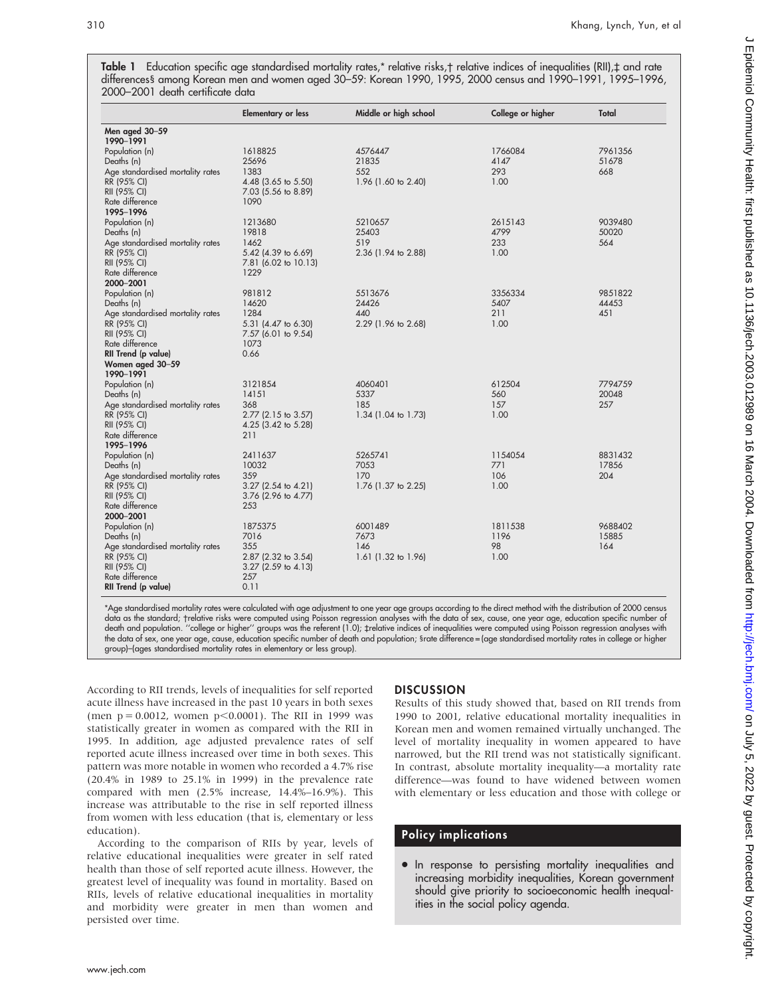**Table 1** Education specitic age standardised mortality rates,\* relative risks,† relative indices ot inequalities (RII),‡ and rate differences§ among Korean men and women aged 30–59: Korean 1990, 1995, 2000 census and 1990–1991, 1995–1996, 2000–2001 death certificate data

|                                  | <b>Elementary or less</b>   | Middle or high school | College or higher | Total   |
|----------------------------------|-----------------------------|-----------------------|-------------------|---------|
| Men aged 30-59                   |                             |                       |                   |         |
| 1990-1991                        |                             |                       |                   |         |
| Population (n)                   | 1618825                     | 4576447               | 1766084           | 7961356 |
| Deaths (n)                       | 25696                       | 21835                 | 4147              | 51678   |
| Age standardised mortality rates | 1383                        | 552                   | 293               | 668     |
| RR (95% CI)                      | 4.48 (3.65 to 5.50)         | 1.96 (1.60 to 2.40)   | 1.00              |         |
| RII (95% CI)                     | 7.03 (5.56 to 8.89)         |                       |                   |         |
| Rate difference                  | 1090                        |                       |                   |         |
| 1995-1996                        |                             |                       |                   |         |
| Population (n)                   | 1213680                     | 5210657               | 2615143           | 9039480 |
| Deaths (n)                       | 19818                       | 25403                 | 4799              | 50020   |
| Age standardised mortality rates | 1462                        | 519                   | 233               | 564     |
| RR (95% CI)                      | 5.42 (4.39 to 6.69)         | 2.36 (1.94 to 2.88)   | 1.00              |         |
| RII (95% CI)                     | 7.81 (6.02 to 10.13)        |                       |                   |         |
| Rate difference                  | 1229                        |                       |                   |         |
| 2000-2001                        |                             |                       |                   |         |
| Population (n)                   | 981812                      | 5513676               | 3356334           | 9851822 |
| Deaths (n)                       | 14620                       | 24426                 | 5407              | 44453   |
| Age standardised mortality rates | 1284                        | 440                   | 211               | 451     |
| RR (95% CI)                      | 5.31 (4.47 to 6.30)         | 2.29 (1.96 to 2.68)   | 1.00              |         |
| RII (95% CI)<br>Rate difference  | 7.57 (6.01 to 9.54)<br>1073 |                       |                   |         |
| RII Trend (p value)              | 0.66                        |                       |                   |         |
| Women aged 30-59                 |                             |                       |                   |         |
| 1990-1991                        |                             |                       |                   |         |
| Population (n)                   | 3121854                     | 4060401               | 612504            | 7794759 |
| Deaths (n)                       | 14151                       | 5337                  | 560               | 20048   |
| Age standardised mortality rates | 368                         | 185                   | 157               | 257     |
| RR (95% CI)                      | 2.77 (2.15 to 3.57)         | 1.34 (1.04 to 1.73)   | 1.00              |         |
| RII (95% CI)                     | 4.25 (3.42 to 5.28)         |                       |                   |         |
| Rate difference                  | 211                         |                       |                   |         |
| 1995-1996                        |                             |                       |                   |         |
| Population (n)                   | 2411637                     | 5265741               | 1154054           | 8831432 |
| Deaths (n)                       | 10032                       | 7053                  | 771               | 17856   |
| Age standardised mortality rates | 359                         | 170                   | 106               | 204     |
| RR (95% CI)                      | 3.27 (2.54 to 4.21)         | 1.76 (1.37 to 2.25)   | 1.00              |         |
| RII (95% CI)                     | 3.76 (2.96 to 4.77)         |                       |                   |         |
| Rate difference                  | 253                         |                       |                   |         |
| 2000-2001                        |                             |                       |                   |         |
| Population (n)                   | 1875375                     | 6001489               | 1811538           | 9688402 |
| Deaths (n)                       | 7016                        | 7673                  | 1196              | 15885   |
| Age standardised mortality rates | 355                         | 146                   | 98                | 164     |
| RR (95% CI)<br>RII (95% CI)      | 2.87 (2.32 to 3.54)         | 1.61 (1.32 to 1.96)   | 1.00              |         |
| Rate difference                  | 3.27 (2.59 to 4.13)<br>257  |                       |                   |         |
| RII Trend (p value)              | 0.11                        |                       |                   |         |
|                                  |                             |                       |                   |         |

\*Age standardised mortality rates were calculated with age adjustment to one year age groups according to the direct method with the distribution of 2000 census data as the standard; †relative risks were computed using Poisson regression analyses with the data of sex, cause, one year age, education specific number ol death and population. "college or higher" groups was the referent (1.0); trelative indices of inequalities were computed using Poisson regression analyses with the data of sex, one year age, cause, education specific number of death and population; Srate difference = (age standardised mortality rates in college or higher group)–(ages standardised mortality rates in elementary or less group).

According to RII trends, levels of inequalities for self reported acute illness have increased in the past 10 years in both sexes (men  $p = 0.0012$ , women  $p < 0.0001$ ). The RII in 1999 was statistically greater in women as compared with the RII in 1995. In addition, age adjusted prevalence rates of self reported acute illness increased over time in both sexes. This pattern was more notable in women who recorded a 4.7% rise (20.4% in 1989 to 25.1% in 1999) in the prevalence rate compared with men (2.5% increase, 14.4%–16.9%). This increase was attributable to the rise in self reported illness from women with less education (that is, elementary or less education).

According to the comparison of RIIs by year, levels of relative educational inequalities were greater in self rated health than those of self reported acute illness. However, the greatest level of inequality was found in mortality. Based on RIIs, levels of relative educational inequalities in mortality and morbidity were greater in men than women and persisted over time.

# **DISCUSSION**

Results of this study showed that, based on RII trends from 1990 to 2001, relative educational mortality inequalities in Korean men and women remained virtually unchanged. The level of mortality inequality in women appeared to have narrowed, but the RII trend was not statistically significant. In contrast, absolute mortality inequality—a mortality rate difference—was found to have widened between women with elementary or less education and those with college or

# Policy implications

• In response to persisting mortality inequalities and increasing morbidity inequalities, Korean government should give priority to socioeconomic health inequalities in the social policy agenda.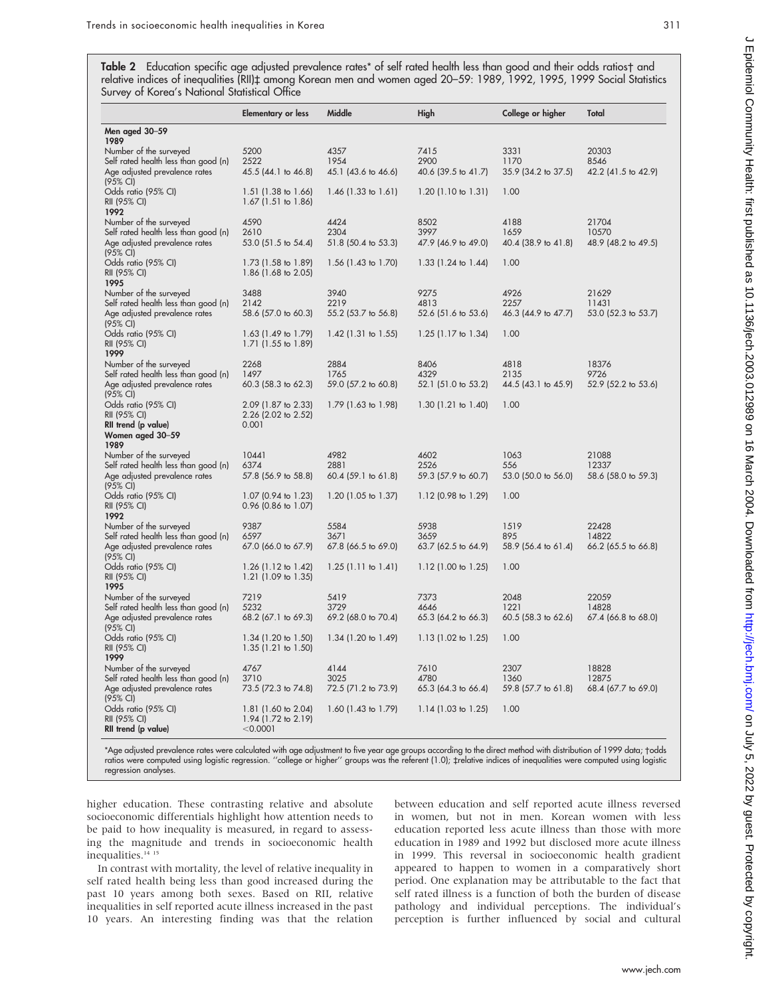|                                                                                                                     | <b>Elementary or less</b>                              | Middle                                | High                                | College or higher                   | Total                                   |
|---------------------------------------------------------------------------------------------------------------------|--------------------------------------------------------|---------------------------------------|-------------------------------------|-------------------------------------|-----------------------------------------|
| Men aged 30-59<br>1989                                                                                              |                                                        |                                       |                                     |                                     |                                         |
| Number of the surveyed<br>Self rated health less than good (n)<br>Age adjusted prevalence rates                     | 5200<br>2522<br>45.5 (44.1 to 46.8)                    | 4357<br>1954<br>45.1 (43.6 to 46.6)   | 7415<br>2900<br>40.6 (39.5 to 41.7) | 3331<br>1170<br>35.9 (34.2 to 37.5) | 20303<br>8546<br>42.2 (41.5 to 42.9)    |
| (95% CI)<br>Odds ratio (95% CI)<br>RII (95% CI)<br>1992                                                             | 1.51 (1.38 to 1.66)<br>1.67 (1.51 to 1.86)             | 1.46 $(1.33 \text{ to } 1.61)$        | $1.20$ (1.10 to 1.31)               | 1.00                                |                                         |
| Number of the surveyed<br>Self rated health less than good (n)<br>Age adjusted prevalence rates                     | 4590<br>2610<br>53.0 (51.5 to 54.4)                    | 4424<br>2304<br>51.8 (50.4 to 53.3)   | 8502<br>3997<br>47.9 (46.9 to 49.0) | 4188<br>1659<br>40.4 (38.9 to 41.8) | 21704<br>10570<br>48.9 (48.2 to 49.5)   |
| (95% CI)<br>Odds ratio (95% CI)<br>RII (95% CI)<br>1995                                                             | 1.73 (1.58 to 1.89)<br>1.86 (1.68 to 2.05)             | 1.56 (1.43 to 1.70)                   | $1.33$ (1.24 to 1.44)               | 1.00                                |                                         |
| Number of the surveyed<br>Self rated health less than good (n)<br>Age adjusted prevalence rates<br>(95% CI)         | 3488<br>2142<br>58.6 (57.0 to 60.3)                    | 3940<br>2219<br>55.2 (53.7 to 56.8)   | 9275<br>4813<br>52.6 (51.6 to 53.6) | 4926<br>2257<br>46.3 (44.9 to 47.7) | 21629<br>11431<br>53.0 (52.3 to 53.7)   |
| Odds ratio (95% CI)<br>RII (95% CI)<br>1999                                                                         | 1.63 (1.49 to 1.79)<br>1.71 (1.55 to 1.89)             | $1.42$ (1.31 to 1.55)                 | $1.25$ (1.17 to 1.34)               | 1.00                                |                                         |
| Number of the surveyed<br>Self rated health less than good (n)<br>Age adjusted prevalence rates<br>(95% CI)         | 2268<br>1497<br>60.3 (58.3 to 62.3)                    | 2884<br>1765<br>59.0 (57.2 to 60.8)   | 8406<br>4329<br>52.1 (51.0 to 53.2) | 4818<br>2135<br>44.5 (43.1 to 45.9) | 18376<br>9726<br>52.9 (52.2 to 53.6)    |
| Odds ratio (95% CI)<br>RII (95% CI)<br>RII trend (p value)<br>Women aged 30–59                                      | 2.09 (1.87 to 2.33)<br>2.26 (2.02 to 2.52)<br>0.001    | 1.79 (1.63 to 1.98)                   | $1.30$ (1.21 to 1.40)               | 1.00                                |                                         |
| 1989<br>Number of the surveyed<br>Self rated health less than good (n)<br>Age adjusted prevalence rates<br>(95% CI) | 10441<br>6374<br>57.8 (56.9 to 58.8)                   | 4982<br>2881<br>$60.4$ (59.1 to 61.8) | 4602<br>2526<br>59.3 (57.9 to 60.7) | 1063<br>556<br>53.0 (50.0 to 56.0)  | 21088<br>12337<br>58.6 (58.0 to 59.3)   |
| Odds ratio (95% CI)<br>RII (95% CI)<br>1992                                                                         | 1.07 (0.94 to 1.23)<br>0.96 (0.86 to 1.07)             | 1.20 $(1.05 \text{ to } 1.37)$        | 1.12 (0.98 to 1.29)                 | 1.00                                |                                         |
| Number of the surveyed<br>Self rated health less than good (n)<br>Age adjusted prevalence rates<br>(95% CI)         | 9387<br>6597<br>67.0 (66.0 to 67.9)                    | 5584<br>3671<br>$67.8$ (66.5 to 69.0) | 5938<br>3659<br>63.7 (62.5 to 64.9) | 1519<br>895<br>58.9 (56.4 to 61.4)  | 22428<br>14822<br>$66.2$ (65.5 to 66.8) |
| Odds ratio (95% CI)<br>RII (95% CI)<br>1995                                                                         | 1.26 (1.12 to 1.42)<br>1.21 (1.09 to 1.35)             | $1.25$ (1.11 to 1.41)                 | 1.12 (1.00 to 1.25)                 | 1.00                                |                                         |
| Number of the surveyed<br>Self rated health less than good (n)                                                      | 7219<br>5232                                           | 5419<br>3729                          | 7373<br>4646                        | 2048<br>1221                        | 22059<br>14828                          |
| Age adjusted prevalence rates<br>(95% CI)                                                                           | 68.2 (67.1 to 69.3)                                    | 69.2 (68.0 to 70.4)                   | 65.3 (64.2 to 66.3)                 | $60.5$ (58.3 to 62.6)               | 67.4 (66.8 to 68.0)                     |
| Odds ratio (95% CI)<br>RII (95% CI)<br>1999                                                                         | 1.34 (1.20 to 1.50)<br>$1.35(1.21)$ to $1.50$          | 1.34 (1.20 to 1.49)                   | 1.13 (1.02 to 1.25)                 | 1.00                                |                                         |
| Number of the surveyed<br>Self rated health less than good (n)<br>Age adjusted prevalence rates                     | 4767<br>3710<br>73.5 (72.3 to 74.8)                    | 4144<br>3025<br>72.5 (71.2 to 73.9)   | 7610<br>4780<br>65.3 (64.3 to 66.4) | 2307<br>1360<br>59.8 (57.7 to 61.8) | 18828<br>12875<br>68.4 (67.7 to 69.0)   |
| (95% CI)<br>Odds ratio (95% CI)<br>RII (95% CI)<br>RII trend (p value)                                              | 1.81 (1.60 to 2.04)<br>1.94 (1.72 to 2.19)<br>< 0.0001 | 1.60 (1.43 to 1.79)                   | $1.14$ (1.03 to 1.25)               | 1.00                                |                                         |

\*Age adjusted prevalence rates were calculated with age adjustment to five year age groups according to the direct method with distribution of 1999 data; †odds ratios were computed using logistic regression. ''college or higher'' groups was the referent (1.0); ‡relative indices of inequalities were computed using logistic regression analyses.

higher education. These contrasting relative and absolute socioeconomic differentials highlight how attention needs to be paid to how inequality is measured, in regard to assessing the magnitude and trends in socioeconomic health inequalities.<sup>14</sup><sup>15</sup>

In contrast with mortality, the level of relative inequality in self rated health being less than good increased during the past 10 years among both sexes. Based on RII, relative inequalities in self reported acute illness increased in the past 10 years. An interesting finding was that the relation between education and self reported acute illness reversed in women, but not in men. Korean women with less education reported less acute illness than those with more education in 1989 and 1992 but disclosed more acute illness in 1999. This reversal in socioeconomic health gradient appeared to happen to women in a comparatively short period. One explanation may be attributable to the fact that self rated illness is a function of both the burden of disease pathology and individual perceptions. The individual's perception is further influenced by social and cultural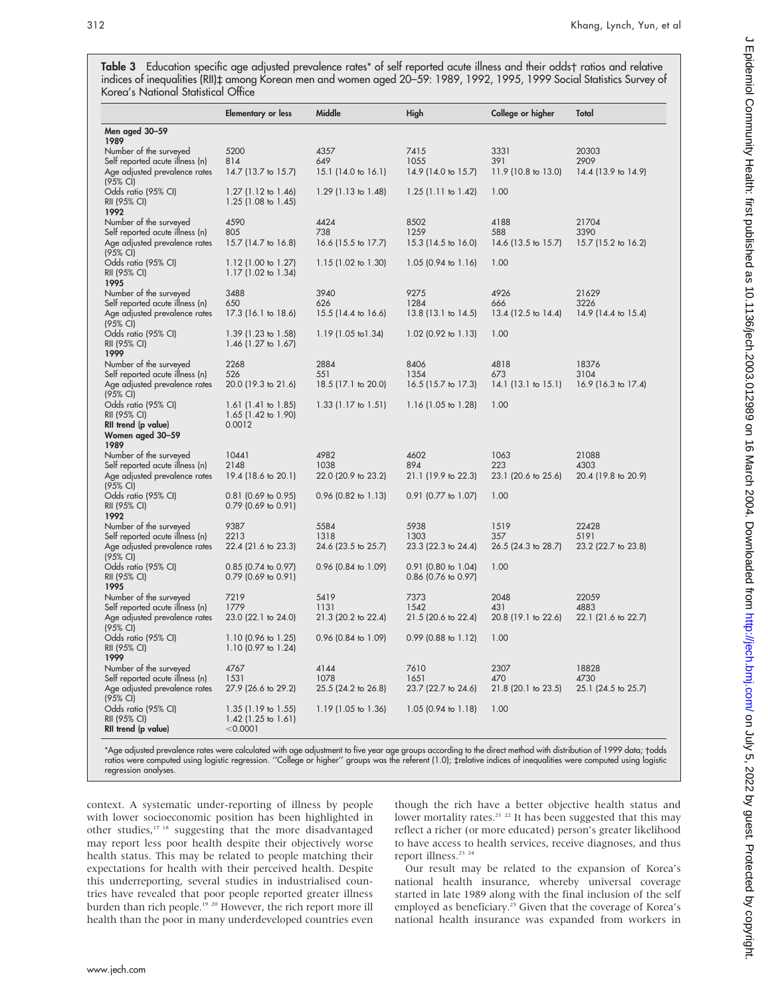**Table 3** Education specitic age adjusted prevalence rates\* ot selt reported acute illness and their odds† ratios and relative indices of inequalities (RII)<sup>+</sup> among Korean men and women aged 20–59: 1989, 1992, 1995, 1999 Social Statistics Survey of Korea's National Statistical Office

|                                                                  | <b>Elementary or less</b>                    | Middle                     | High                        | College or higher              | Total                       |
|------------------------------------------------------------------|----------------------------------------------|----------------------------|-----------------------------|--------------------------------|-----------------------------|
| Men aged 30-59                                                   |                                              |                            |                             |                                |                             |
| 1989<br>Number of the surveyed                                   | 5200                                         | 4357                       | 7415                        | 3331                           | 20303                       |
| Self reported acute illness (n)                                  | 814                                          | 649                        | 1055                        | 391                            | 2909                        |
| Age adjusted prevalence rates                                    | 14.7 (13.7 to 15.7)                          | 15.1 (14.0 to 16.1)        | 14.9 (14.0 to 15.7)         | 11.9 (10.8 to 13.0)            | 14.4 (13.9 to 14.9)         |
| (95% CI)                                                         |                                              |                            |                             |                                |                             |
| Odds ratio (95% CI)                                              | $1.27$ (1.12 to 1.46)                        | $1.29$ (1.13 to 1.48)      | $1.25$ (1.11 to 1.42)       | 1.00                           |                             |
| RII (95% CI)                                                     | 1.25 (1.08 to 1.45)                          |                            |                             |                                |                             |
| 1992                                                             |                                              |                            |                             |                                |                             |
| Number of the surveyed                                           | 4590                                         | 4424                       | 8502                        | 4188                           | 21704                       |
| Self reported acute illness (n)<br>Age adjusted prevalence rates | 805<br>15.7 (14.7 to 16.8)                   | 738<br>16.6 (15.5 to 17.7) | 1259<br>15.3 (14.5 to 16.0) | 588<br>14.6 (13.5 to 15.7)     | 3390<br>15.7 (15.2 to 16.2) |
| (95% CI)                                                         |                                              |                            |                             |                                |                             |
| Odds ratio (95% CI)                                              | $1.12$ (1.00 to 1.27)                        | $1.15$ (1.02 to 1.30)      | $1.05$ (0.94 to 1.16)       | 1.00                           |                             |
| RII (95% CI)                                                     | 1.17 (1.02 to 1.34)                          |                            |                             |                                |                             |
| 1995                                                             |                                              |                            |                             |                                |                             |
| Number of the surveyed                                           | 3488                                         | 3940                       | 9275                        | 4926                           | 21629                       |
| Self reported acute illness (n)                                  | 650                                          | 626                        | 1284                        | 666                            | 3226                        |
| Age adjusted prevalence rates<br>(95% CI)                        | 17.3 (16.1 to 18.6)                          | 15.5 (14.4 to 16.6)        | 13.8 (13.1 to 14.5)         | 13.4 (12.5 to 14.4)            | 14.9 (14.4 to 15.4)         |
| Odds ratio (95% CI)                                              | 1.39 (1.23 to 1.58)                          | 1.19 (1.05 to 1.34)        | $1.02$ (0.92 to $1.13$ )    | 1.00                           |                             |
| RII (95% CI)                                                     | 1.46 $(1.27 \text{ to } 1.67)$               |                            |                             |                                |                             |
| 1999                                                             |                                              |                            |                             |                                |                             |
| Number of the surveyed                                           | 2268                                         | 2884                       | 8406                        | 4818                           | 18376                       |
| Self reported acute illness (n)                                  | 526                                          | 551                        | 1354                        | 673                            | 3104                        |
| Age adjusted prevalence rates<br>(95% CI)                        | 20.0 (19.3 to 21.6)                          | 18.5 (17.1 to 20.0)        | 16.5 (15.7 to 17.3)         | 14.1 $(13.1 \text{ to } 15.1)$ | 16.9 (16.3 to 17.4)         |
| Odds ratio (95% CI)                                              | $1.61$ (1.41 to 1.85)                        | $1.33$ (1.17 to 1.51)      | $1.16$ (1.05 to 1.28)       | 1.00                           |                             |
| RII (95% CI)                                                     | 1.65 (1.42 to 1.90)                          |                            |                             |                                |                             |
| RII trend (p value)                                              | 0.0012                                       |                            |                             |                                |                             |
| Women aged 30-59                                                 |                                              |                            |                             |                                |                             |
| 1989<br>Number of the surveyed                                   | 10441                                        | 4982                       | 4602                        | 1063                           | 21088                       |
| Self reported acute illness (n)                                  | 2148                                         | 1038                       | 894                         | 223                            | 4303                        |
| Age adjusted prevalence rates                                    | 19.4 (18.6 to 20.1)                          | 22.0 (20.9 to 23.2)        | 21.1 (19.9 to 22.3)         | 23.1 (20.6 to 25.6)            | 20.4 (19.8 to 20.9)         |
| (95% CI)                                                         |                                              |                            |                             |                                |                             |
| Odds ratio (95% CI)                                              | 0.81 (0.69 to 0.95)                          | $0.96$ (0.82 to 1.13)      | $0.91$ (0.77 to 1.07)       | 1.00                           |                             |
| RII (95% CI)                                                     | 0.79 (0.69 to 0.91)                          |                            |                             |                                |                             |
| 1992<br>Number of the surveyed                                   | 9387                                         | 5584                       | 5938                        | 1519                           | 22428                       |
| Self reported acute illness (n)                                  | 2213                                         | 1318                       | 1303                        | 357                            | 5191                        |
| Age adjusted prevalence rates                                    | 22.4 (21.6 to 23.3)                          | 24.6 (23.5 to 25.7)        | 23.3 (22.3 to 24.4)         | 26.5 (24.3 to 28.7)            | 23.2 (22.7 to 23.8)         |
| $(95% \text{ Cl})$                                               |                                              |                            |                             |                                |                             |
| Odds ratio (95% CI)                                              | $0.85$ (0.74 to 0.97)                        | $0.96$ (0.84 to 1.09)      | $0.91$ (0.80 to 1.04)       | 1.00                           |                             |
| RII (95% CI)                                                     | 0.79 (0.69 to 0.91)                          |                            | 0.86 (0.76 to 0.97)         |                                |                             |
| 1995<br>Number of the surveyed                                   | 7219                                         | 5419                       | 7373                        | 2048                           | 22059                       |
| Self reported acute illness (n)                                  | 1779                                         | 1131                       | 1542                        | 431                            | 4883                        |
| Age adjusted prevalence rates                                    | 23.0 (22.1 to 24.0)                          | 21.3 (20.2 to 22.4)        | 21.5 (20.6 to 22.4)         | 20.8 (19.1 to 22.6)            | 22.1 (21.6 to 22.7)         |
| (95% CI)                                                         |                                              |                            |                             |                                |                             |
| Odds ratio (95% CI)                                              | 1.10 (0.96 to 1.25)                          | $0.96$ (0.84 to 1.09)      | 0.99 (0.88 to 1.12)         | 1.00                           |                             |
| RII (95% CI)                                                     | 1.10 (0.97 to 1.24)                          |                            |                             |                                |                             |
| 1999<br>Number of the surveyed                                   | 4767                                         | 4144                       | 7610                        | 2307                           | 18828                       |
| Self reported acute illness (n)                                  | 1531                                         | 1078                       | 1651                        | 470                            | 4730                        |
| Age adjusted prevalence rates                                    | 27.9 (26.6 to 29.2)                          | 25.5 (24.2 to 26.8)        | 23.7 (22.7 to 24.6)         | 21.8 (20.1 to 23.5)            | 25.1 (24.5 to 25.7)         |
| (95% CI)                                                         |                                              |                            |                             |                                |                             |
| Odds ratio (95% CI)                                              | $1.35$ (1.19 to 1.55)                        | 1.19 (1.05 to 1.36)        | 1.05 (0.94 to 1.18)         | 1.00                           |                             |
| RII (95% CI)                                                     | 1.42 $(1.25 \text{ to } 1.61)$<br>$<$ 0.0001 |                            |                             |                                |                             |
| RII trend (p value)                                              |                                              |                            |                             |                                |                             |

\*Age adjusted prevalence rates were calculated with age adjustment to five year age groups according to the direct method with distribution of 1999 data; †odds ratios were computed using logistic regression. ''College or higher'' groups was the referent (1.0); ‡relative indices of inequalities were computed using logistic regression analyses.

context. A systematic under-reporting of illness by people with lower socioeconomic position has been highlighted in other studies,<sup>17 18</sup> suggesting that the more disadvantaged may report less poor health despite their objectively worse health status. This may be related to people matching their expectations for health with their perceived health. Despite this underreporting, several studies in industrialised countries have revealed that poor people reported greater illness burden than rich people.19 20 However, the rich report more ill health than the poor in many underdeveloped countries even though the rich have a better objective health status and lower mortality rates.<sup>21</sup> <sup>22</sup> It has been suggested that this may reflect a richer (or more educated) person's greater likelihood to have access to health services, receive diagnoses, and thus report illness.<sup>23</sup> <sup>24</sup>

Our result may be related to the expansion of Korea's national health insurance, whereby universal coverage started in late 1989 along with the final inclusion of the self employed as beneficiary.<sup>25</sup> Given that the coverage of Korea's national health insurance was expanded from workers in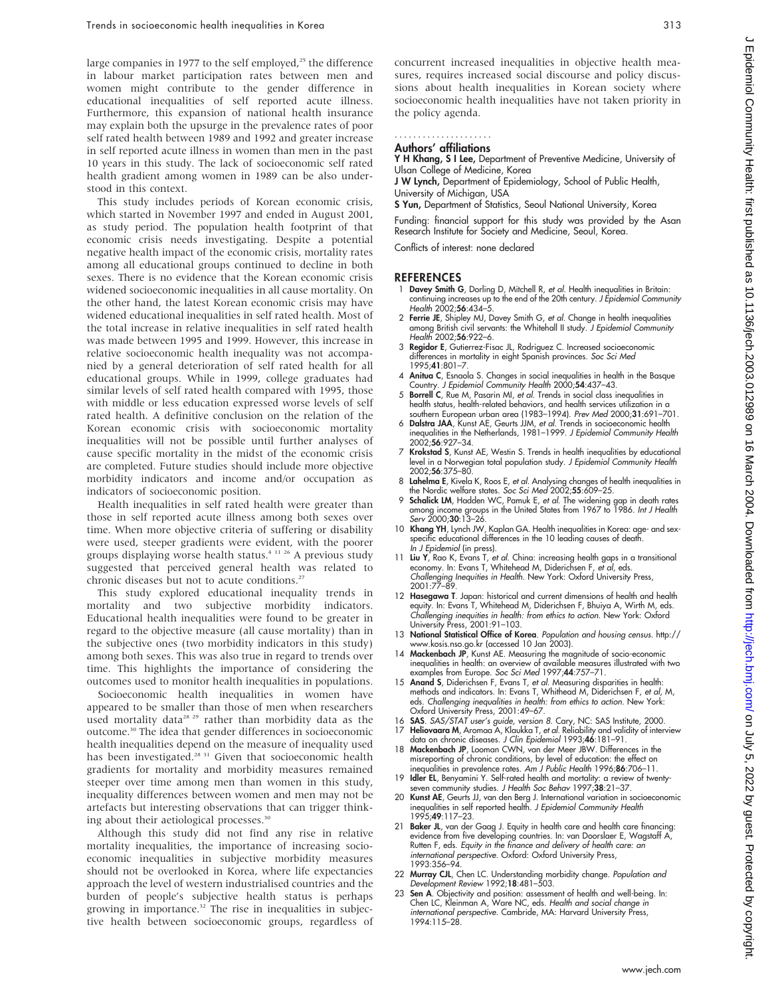large companies in 1977 to the self employed, $25$  the difference in labour market participation rates between men and women might contribute to the gender difference in educational inequalities of self reported acute illness. Furthermore, this expansion of national health insurance may explain both the upsurge in the prevalence rates of poor self rated health between 1989 and 1992 and greater increase in self reported acute illness in women than men in the past 10 years in this study. The lack of socioeconomic self rated health gradient among women in 1989 can be also understood in this context.

This study includes periods of Korean economic crisis, which started in November 1997 and ended in August 2001, as study period. The population health footprint of that economic crisis needs investigating. Despite a potential negative health impact of the economic crisis, mortality rates among all educational groups continued to decline in both sexes. There is no evidence that the Korean economic crisis widened socioeconomic inequalities in all cause mortality. On the other hand, the latest Korean economic crisis may have widened educational inequalities in self rated health. Most of the total increase in relative inequalities in self rated health was made between 1995 and 1999. However, this increase in relative socioeconomic health inequality was not accompanied by a general deterioration of self rated health for all educational groups. While in 1999, college graduates had similar levels of self rated health compared with 1995, those with middle or less education expressed worse levels of self rated health. A definitive conclusion on the relation of the Korean economic crisis with socioeconomic mortality inequalities will not be possible until further analyses of cause specific mortality in the midst of the economic crisis are completed. Future studies should include more objective morbidity indicators and income and/or occupation as indicators of socioeconomic position.

Health inequalities in self rated health were greater than those in self reported acute illness among both sexes over time. When more objective criteria of suffering or disability were used, steeper gradients were evident, with the poorer groups displaying worse health status.4 11 26 A previous study suggested that perceived general health was related to chronic diseases but not to acute conditions.<sup>27</sup>

This study explored educational inequality trends in mortality and two subjective morbidity indicators. Educational health inequalities were found to be greater in regard to the objective measure (all cause mortality) than in the subjective ones (two morbidity indicators in this study) among both sexes. This was also true in regard to trends over time. This highlights the importance of considering the outcomes used to monitor health inequalities in populations.

Socioeconomic health inequalities in women have appeared to be smaller than those of men when researchers used mortality data<sup>28 29</sup> rather than morbidity data as the outcome.30 The idea that gender differences in socioeconomic health inequalities depend on the measure of inequality used has been investigated.<sup>28 31</sup> Given that socioeconomic health gradients for mortality and morbidity measures remained steeper over time among men than women in this study, inequality differences between women and men may not be artefacts but interesting observations that can trigger thinking about their aetiological processes.<sup>30</sup>

Although this study did not find any rise in relative mortality inequalities, the importance of increasing socioeconomic inequalities in subjective morbidity measures should not be overlooked in Korea, where life expectancies approach the level of western industrialised countries and the burden of people's subjective health status is perhaps growing in importance.<sup>32</sup> The rise in inequalities in subjective health between socioeconomic groups, regardless of concurrent increased inequalities in objective health measures, requires increased social discourse and policy discussions about health inequalities in Korean society where socioeconomic health inequalities have not taken priority in the policy agenda.

# .....................

Authors' affiliations

Y H Khang, S I Lee, Department of Preventive Medicine, University of Ulsan College of Medicine, Korea

J W Lynch, Department of Epidemiology, School of Public Health, University of Michigan, USA

S Yun, Department of Statistics, Seoul National University, Korea

Funding: financial support for this study was provided by the Asan Research Institute for Society and Medicine, Seoul, Korea.

Conflicts of interest: none declared

#### **REFERENCES**

- 1 Davey Smith G, Dorling D, Mitchell R, et al. Health inequalities in Britain: continuing increases up to the end of the 20th century. J Epidemiol Community Health 2002;56:434–5.
- 2 Ferrie JE, Shipley MJ, Davey Smith G, et al. Change in health inequalities among British civil servants: the Whitehall II study. J Epidemiol Community Health 2002;56:922–6.
- 3 Regidor E, Gutierrez-Fisac JL, Rodriguez C. Increased socioeconomic differences in mortality in eight Spanish provinces. Soc Sci Med 1995;41:801–7.
- 4 Anitua C, Esnaola S. Changes in social inequalities in health in the Basque Country. J Epidemiol Community Health 2000;54:437–43.
- 5 **Borrell C**, Rue M, Pasarin MI, et al. Trends in social class inequalities in health status, health-related behaviors, and health services utilization in a southern European urban area (1983–1994). Prev Med 2000;31:691–701.
- 6 Dalstra JAA, Kunst AE, Geurts JJM, et al. Trends in socioeconomic health inequalities in the Netherlands, 1981–1999. J Epidemiol Community Health 2002;56:927–34.
- 7 Krokstad S, Kunst AE, Westin S. Trends in health inequalities by educational level in a Norwegian total population study. J Epidemiol Community Health 2002;56:375–80.
- 8 Lahelma E, Kivela K, Roos E, et al. Analysing changes of health inequalities in he Nordic welfare states. Soc Sci Med 2002;55:609-25.
- 9 Schalick LM, Hadden WC, Pamuk E, et al. The widening gap in death rates among income groups in the United States from 1967 to 1986. Int J Health Serv 2000;30:13–26.
- 10 Khang YH, Lynch JW, Kaplan GA. Health inequalities in Korea: age- and sexspecific educational differences in the 10 leading causes of death. In J Epidemiol (in press).
- 11 Liu Y, Rao K, Evans T, et al. China: increasing health gaps in a transitional economy. In: Evans T, Whitehead M, Diderichsen F, et al, eds. Challenging Inequities in Health. New York: Oxford University Press, 2001:77–89.
- 12 Hasegawa T. Japan: historical and current dimensions of health and health equity. In: Evans T, Whitehead M, Diderichsen F, Bhuiya A, Wirth M, eds. Challenging inequities in health: from ethics to action. New York: Oxford University Press, 2001:91–103.
- 13 National Statistical Office of Korea. Population and housing census. http:// www.kosis.nso.go.kr (accessed 10 Jan 2003).
- 14 Mackenbach JP, Kunst AE. Measuring the magnitude of socio-economic inequalities in health: an overview of available measures illustrated with two examples from Europe. Soc Sci Med 1997;44:757–71.
- 15 **Anand S**, Diderichsen F, Evans T, et al. Measuring disparities in health:<br>methods and indicators. In: Evans T, Whithead M, Diderichsen F, et al, M,<br>eds. Challenging inequalities in health: from ethics to action. New Yo Oxford University Press, 2001:49–67.
- 16 **SAS**. SAS/STAT user's guide, version 8. Cary, NC: SAS Institute, 2000.<br>17 **Heliovaara M**, Aromaa A, Klaukka T, et al. Reliability and validity of interview
- data on chronic diseases. J Clin Epidemiol 1993;46:181–91. 18 Mackenbach JP, Looman CWN, van der Meer JBW. Differences in the misreporting of chronic conditions, by level of education: the effect on<br>inequalities in prevalence rates. Am J Public Health 1996;86:706–11.
- 19 Idler EL, Benyamini Y. Self-rated health and mortality: a review of twenty-seven community studies. J Health Soc Behav 1997;38:21–37.
- 20 Kunst AE, Geurts JJ, van den Berg J. International variation in socioeconomic inequalities in self reported health. J Epidemiol Community Health 1995;49:117–23.
- 21 Baker JL, van der Gaag J. Equity in health care and health care financing: evidence from five developing countries. In: van Doorslaer E, Wagstaff A, Rutten F, eds. Equity in the finance and delivery of health care: an international perspective. Oxford: Oxford University Press, 1993:356–94.
- 22 Murray CJL, Chen LC. Understanding morbidity change. Population and Development Review 1992;18:481–503.
- 23 Sen A. Objectivity and position: assessment of health and well-being. In: Chen LC, Kleinman A, Ware NC, eds. Health and social change in international perspective. Cambride, MA: Harvard University Press, 1994:115–28.